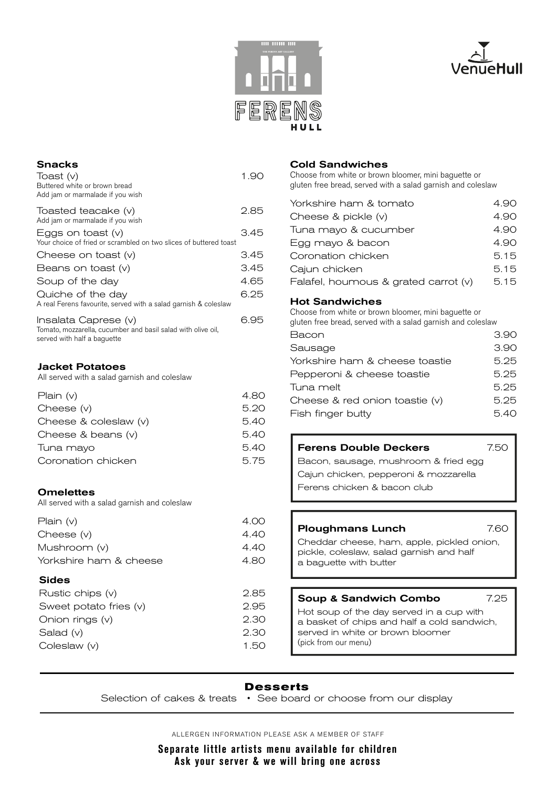



# Snacks Toast (v) 1.90 Buttered white or brown bread Add jam or marmalade if you wish Toasted teacake (v) 2.85 Add jam or marmalade if you wish Eggs on toast  $(v)$  3.45 Your choice of fried or scrambled on two slices of buttered toast Cheese on toast  $(v)$  3.45 Beans on toast  $(v)$  3.45 Soup of the day 4.65 Quiche of the day 6.25 A real Ferens favourite, served with a salad garnish & coleslaw Insalata Caprese (v) 6.95 Tomato, mozzarella, cucumber and basil salad with olive oil, served with half a baguette Jacket Potatoes

All served with a salad garnish and coleslaw

| Plain $(v)$            | 4.80 |
|------------------------|------|
| Cheese $(v)$           | 5.20 |
| Cheese & coleslaw (v)  | 5.40 |
| Cheese $&$ beans $(v)$ | 5.40 |
| Tuna mayo              | 5.40 |
| Coronation chicken     | 5.75 |

### **Omelettes**

All served with a salad garnish and coleslaw

| <b>Sides</b>           |      |
|------------------------|------|
| Yorkshire ham & cheese | 4.80 |
| Mushroom (v)           | 4.40 |
| Cheese $(v)$           | 4.40 |
| Plain $(v)$            | 4.00 |

| Rustic chips (v)       | 2.85 |
|------------------------|------|
| Sweet potato fries (v) | 2.95 |
| Onion rings $(v)$      | 2.30 |
| Salad $(v)$            | 2.30 |
| Coleslaw $(v)$         | 1.50 |
|                        |      |

### Cold Sandwiches

Choose from white or brown bloomer, mini baguette or gluten free bread, served with a salad garnish and coleslaw

| Yorkshire ham & tomato               | 4.90 |
|--------------------------------------|------|
| Cheese & pickle (v)                  | 4.90 |
| Tuna mayo & cucumber                 | 4.90 |
| Egg mayo & bacon                     | 4.90 |
| Coronation chicken                   | 5.15 |
| Cajun chicken                        | 5.15 |
| Falafel, houmous & grated carrot (v) | 5.15 |

### Hot Sandwiches

Choose from white or brown bloomer, mini baguette or gluten free bread, served with a salad garnish and coleslaw

| giuten nee bieau, serveu with a salau garmsii anu colesiaw |      |
|------------------------------------------------------------|------|
| Bacon                                                      | 3.90 |
| Sausage                                                    | 3.90 |
| Yorkshire ham & cheese toastie                             | 5.25 |
| Pepperoni & cheese toastie                                 | 5.25 |
| Tuna melt                                                  | 5.25 |
| Cheese & red onion toastie (v)                             | 5.25 |
| Fish finger butty                                          | 5.40 |

### Ferens Double Deckers 7.50

Bacon, sausage, mushroom & fried egg Cajun chicken, pepperoni & mozzarella Ferens chicken & bacon club

#### Ploughmans Lunch 7.60

Cheddar cheese, ham, apple, pickled onion, pickle, coleslaw, salad garnish and half a baguette with butter

# Soup & Sandwich Combo 7.25

Hot soup of the day served in a cup with a basket of chips and half a cold sandwich, served in white or brown bloomer (pick from our menu)

# **Desserts**

Selection of cakes & treats • See board or choose from our display

ALLERGEN INFORMATION PLEASE ASK A MEMBER OF STAFF

**Separate little artists menu available for children Ask your server & we will bring one across**